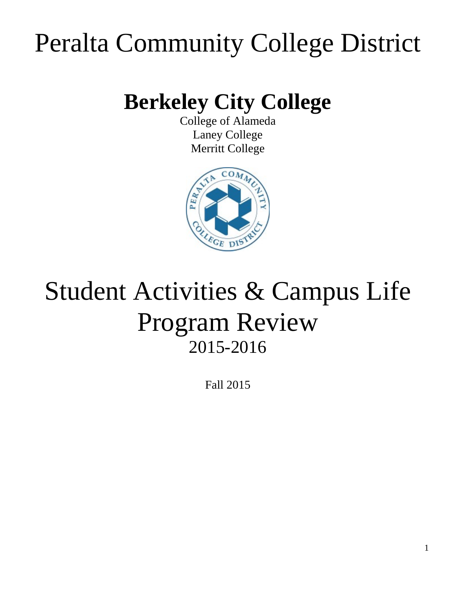# Peralta Community College District

# **Berkeley City College**

College of Alameda Laney College Merritt College



# Student Activities & Campus Life Program Review 2015-2016

Fall 2015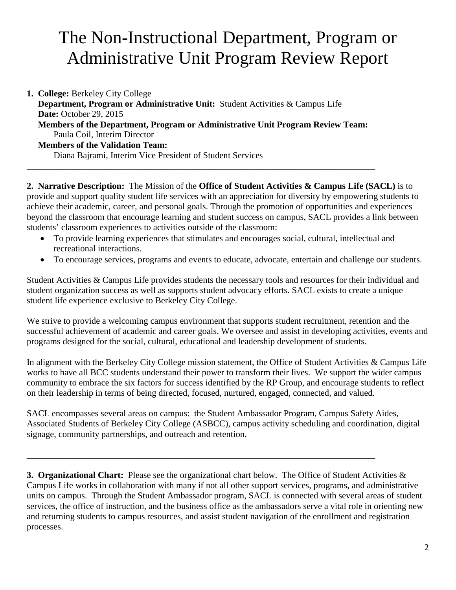## The Non-Instructional Department, Program or Administrative Unit Program Review Report

**1. College:** Berkeley City College  **Department, Program or Administrative Unit:** Student Activities & Campus Life  **Date:** October 29, 2015  **Members of the Department, Program or Administrative Unit Program Review Team:** Paula Coil, Interim Director  **Members of the Validation Team:** Diana Bajrami, Interim Vice President of Student Services

**\_\_\_\_\_\_\_\_\_\_\_\_\_\_\_\_\_\_\_\_\_\_\_\_\_\_\_\_\_\_\_\_\_\_\_\_\_\_\_\_\_\_\_\_\_\_\_\_\_\_\_\_\_\_\_\_\_\_\_\_\_\_\_\_\_\_\_\_\_\_\_\_\_\_\_\_\_\_**

**2. Narrative Description:** The Mission of the **Office of Student Activities & Campus Life (SACL)** is to provide and support quality student life services with an appreciation for diversity by empowering students to achieve their academic, career, and personal goals. Through the promotion of opportunities and experiences beyond the classroom that encourage learning and student success on campus, SACL provides a link between students' classroom experiences to activities outside of the classroom:

- To provide learning experiences that stimulates and encourages social, cultural, intellectual and recreational interactions.
- To encourage services, programs and events to educate, advocate, entertain and challenge our students.

Student Activities & Campus Life provides students the necessary tools and resources for their individual and student organization success as well as supports student advocacy efforts. SACL exists to create a unique student life experience exclusive to Berkeley City College.

We strive to provide a welcoming campus environment that supports student recruitment, retention and the successful achievement of academic and career goals. We oversee and assist in developing activities, events and programs designed for the social, cultural, educational and leadership development of students.

In alignment with the Berkeley City College mission statement, the Office of Student Activities & Campus Life works to have all BCC students understand their power to transform their lives. We support the wider campus community to embrace the six factors for success identified by the RP Group, and encourage students to reflect on their leadership in terms of being directed, focused, nurtured, engaged, connected, and valued.

SACL encompasses several areas on campus: the Student Ambassador Program, Campus Safety Aides, Associated Students of Berkeley City College (ASBCC), campus activity scheduling and coordination, digital signage, community partnerships, and outreach and retention.

\_\_\_\_\_\_\_\_\_\_\_\_\_\_\_\_\_\_\_\_\_\_\_\_\_\_\_\_\_\_\_\_\_\_\_\_\_\_\_\_\_\_\_\_\_\_\_\_\_\_\_\_\_\_\_\_\_\_\_\_\_\_\_\_\_\_\_\_\_\_\_\_\_\_\_\_\_\_

**3. Organizational Chart:** Please see the organizational chart below. The Office of Student Activities & Campus Life works in collaboration with many if not all other support services, programs, and administrative units on campus. Through the Student Ambassador program, SACL is connected with several areas of student services, the office of instruction, and the business office as the ambassadors serve a vital role in orienting new and returning students to campus resources, and assist student navigation of the enrollment and registration processes.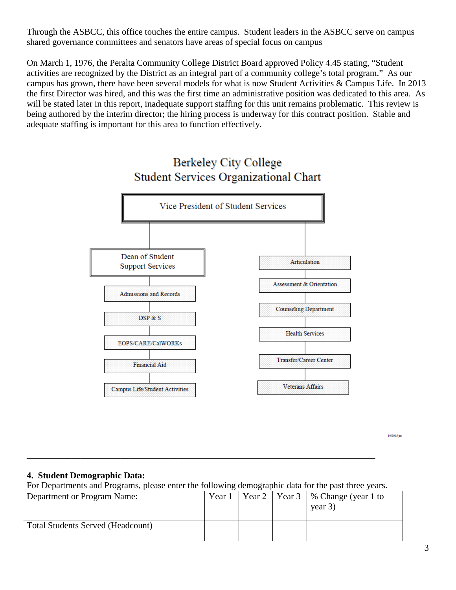Through the ASBCC, this office touches the entire campus. Student leaders in the ASBCC serve on campus shared governance committees and senators have areas of special focus on campus

On March 1, 1976, the Peralta Community College District Board approved Policy 4.45 stating, "Student activities are recognized by the District as an integral part of a community college's total program." As our campus has grown, there have been several models for what is now Student Activities & Campus Life. In 2013 the first Director was hired, and this was the first time an administrative position was dedicated to this area. As will be stated later in this report, inadequate support staffing for this unit remains problematic. This review is being authored by the interim director; the hiring process is underway for this contract position. Stable and adequate staffing is important for this area to function effectively.



10/2015 jm

### **4. Student Demographic Data:**

For Departments and Programs, please enter the following demographic data for the past three years.

\_\_\_\_\_\_\_\_\_\_\_\_\_\_\_\_\_\_\_\_\_\_\_\_\_\_\_\_\_\_\_\_\_\_\_\_\_\_\_\_\_\_\_\_\_\_\_\_\_\_\_\_\_\_\_\_\_\_\_\_\_\_\_\_\_\_\_\_\_\_\_\_\_\_\_\_\_\_

| Department or Program Name:              | Year 1 |  | $\vert$ Year 2 $\vert$ Year 3 $\vert$ % Change (year 1 to<br>year $3)$ |
|------------------------------------------|--------|--|------------------------------------------------------------------------|
| <b>Total Students Served (Headcount)</b> |        |  |                                                                        |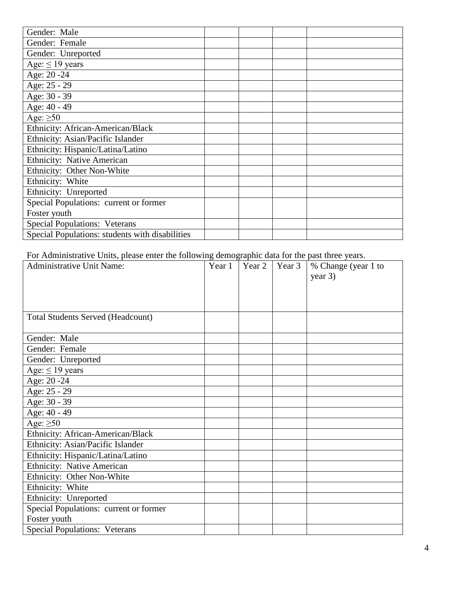| Gender: Male                                    |  |  |
|-------------------------------------------------|--|--|
| Gender: Female                                  |  |  |
| Gender: Unreported                              |  |  |
| Age: $\leq$ 19 years                            |  |  |
| Age: 20 - 24                                    |  |  |
| Age: 25 - 29                                    |  |  |
| Age: 30 - 39                                    |  |  |
| Age: $40 - 49$                                  |  |  |
| Age: $\geq 50$                                  |  |  |
| <b>Ethnicity: African-American/Black</b>        |  |  |
| Ethnicity: Asian/Pacific Islander               |  |  |
| Ethnicity: Hispanic/Latina/Latino               |  |  |
| Ethnicity: Native American                      |  |  |
| Ethnicity: Other Non-White                      |  |  |
| Ethnicity: White                                |  |  |
| Ethnicity: Unreported                           |  |  |
| Special Populations: current or former          |  |  |
| Foster youth                                    |  |  |
| <b>Special Populations: Veterans</b>            |  |  |
| Special Populations: students with disabilities |  |  |

For Administrative Units, please enter the following demographic data for the past three years.

| <b>Administrative Unit Name:</b>         | Year 1 | Year 2 | Year 3 | % Change (year 1 to |
|------------------------------------------|--------|--------|--------|---------------------|
|                                          |        |        |        | year $3)$           |
|                                          |        |        |        |                     |
|                                          |        |        |        |                     |
|                                          |        |        |        |                     |
| <b>Total Students Served (Headcount)</b> |        |        |        |                     |
| Gender: Male                             |        |        |        |                     |
| Gender: Female                           |        |        |        |                     |
| Gender: Unreported                       |        |        |        |                     |
| Age: $\leq$ 19 years                     |        |        |        |                     |
| Age: 20 - 24                             |        |        |        |                     |
| Age: 25 - 29                             |        |        |        |                     |
| Age: 30 - 39                             |        |        |        |                     |
| Age: 40 - 49                             |        |        |        |                     |
| Age: $\geq 50$                           |        |        |        |                     |
| Ethnicity: African-American/Black        |        |        |        |                     |
| Ethnicity: Asian/Pacific Islander        |        |        |        |                     |
| Ethnicity: Hispanic/Latina/Latino        |        |        |        |                     |
| <b>Ethnicity: Native American</b>        |        |        |        |                     |
| Ethnicity: Other Non-White               |        |        |        |                     |
| Ethnicity: White                         |        |        |        |                     |
| Ethnicity: Unreported                    |        |        |        |                     |
| Special Populations: current or former   |        |        |        |                     |
| Foster youth                             |        |        |        |                     |
| <b>Special Populations: Veterans</b>     |        |        |        |                     |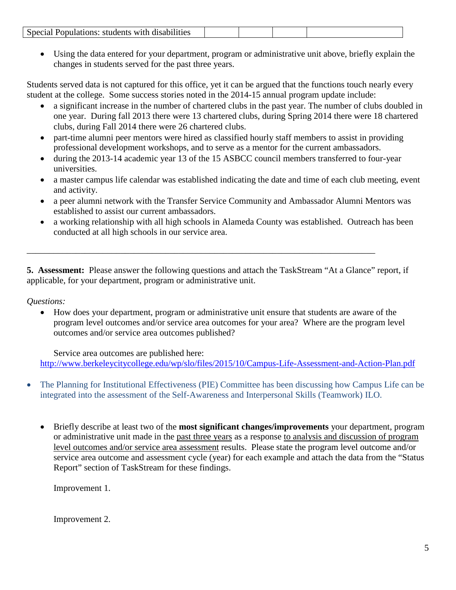|--|

• Using the data entered for your department, program or administrative unit above, briefly explain the changes in students served for the past three years.

Students served data is not captured for this office, yet it can be argued that the functions touch nearly every student at the college. Some success stories noted in the 2014-15 annual program update include:

- a significant increase in the number of chartered clubs in the past year. The number of clubs doubled in one year. During fall 2013 there were 13 chartered clubs, during Spring 2014 there were 18 chartered clubs, during Fall 2014 there were 26 chartered clubs.
- part-time alumni peer mentors were hired as classified hourly staff members to assist in providing professional development workshops, and to serve as a mentor for the current ambassadors.
- during the 2013-14 academic year 13 of the 15 ASBCC council members transferred to four-year universities.
- a master campus life calendar was established indicating the date and time of each club meeting, event and activity.
- a peer alumni network with the Transfer Service Community and Ambassador Alumni Mentors was established to assist our current ambassadors.
- a working relationship with all high schools in Alameda County was established. Outreach has been conducted at all high schools in our service area.

**5. Assessment:** Please answer the following questions and attach the TaskStream "At a Glance" report, if applicable, for your department, program or administrative unit.

\_\_\_\_\_\_\_\_\_\_\_\_\_\_\_\_\_\_\_\_\_\_\_\_\_\_\_\_\_\_\_\_\_\_\_\_\_\_\_\_\_\_\_\_\_\_\_\_\_\_\_\_\_\_\_\_\_\_\_\_\_\_\_\_\_\_\_\_\_\_\_\_\_\_\_\_\_\_

### *Questions:*

• How does your department, program or administrative unit ensure that students are aware of the program level outcomes and/or service area outcomes for your area? Where are the program level outcomes and/or service area outcomes published?

Service area outcomes are published here: <http://www.berkeleycitycollege.edu/wp/slo/files/2015/10/Campus-Life-Assessment-and-Action-Plan.pdf>

- The Planning for Institutional Effectiveness (PIE) Committee has been discussing how Campus Life can be integrated into the assessment of the Self-Awareness and Interpersonal Skills (Teamwork) ILO.
	- Briefly describe at least two of the **most significant changes/improvements** your department, program or administrative unit made in the past three years as a response to analysis and discussion of program level outcomes and/or service area assessment results. Please state the program level outcome and/or service area outcome and assessment cycle (year) for each example and attach the data from the "Status Report" section of TaskStream for these findings.

Improvement 1.

Improvement 2.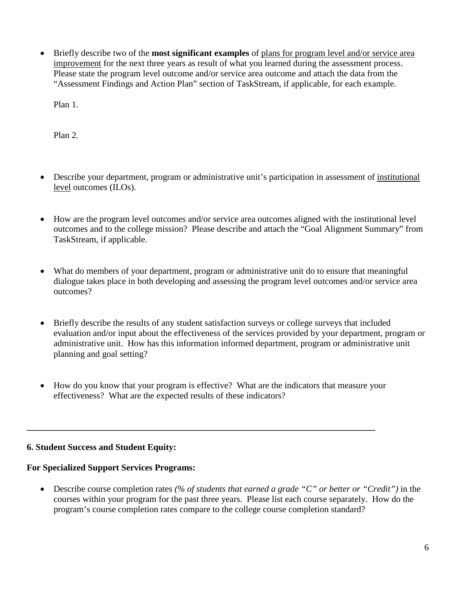• Briefly describe two of the **most significant examples** of plans for program level and/or service area improvement for the next three years as result of what you learned during the assessment process. Please state the program level outcome and/or service area outcome and attach the data from the "Assessment Findings and Action Plan" section of TaskStream, if applicable, for each example.

Plan 1.

Plan 2.

- Describe your department, program or administrative unit's participation in assessment of institutional level outcomes (ILOs).
- How are the program level outcomes and/or service area outcomes aligned with the institutional level outcomes and to the college mission? Please describe and attach the "Goal Alignment Summary" from TaskStream, if applicable.
- What do members of your department, program or administrative unit do to ensure that meaningful dialogue takes place in both developing and assessing the program level outcomes and/or service area outcomes?
- Briefly describe the results of any student satisfaction surveys or college surveys that included evaluation and/or input about the effectiveness of the services provided by your department, program or administrative unit. How has this information informed department, program or administrative unit planning and goal setting?
- How do you know that your program is effective? What are the indicators that measure your effectiveness? What are the expected results of these indicators?

**\_\_\_\_\_\_\_\_\_\_\_\_\_\_\_\_\_\_\_\_\_\_\_\_\_\_\_\_\_\_\_\_\_\_\_\_\_\_\_\_\_\_\_\_\_\_\_\_\_\_\_\_\_\_\_\_\_\_\_\_\_\_\_\_\_\_\_\_\_\_\_\_\_\_\_\_\_\_**

### **6. Student Success and Student Equity:**

### **For Specialized Support Services Programs:**

• Describe course completion rates *(% of students that earned a grade "C" or better or "Credit")* in the courses within your program for the past three years. Please list each course separately. How do the program's course completion rates compare to the college course completion standard?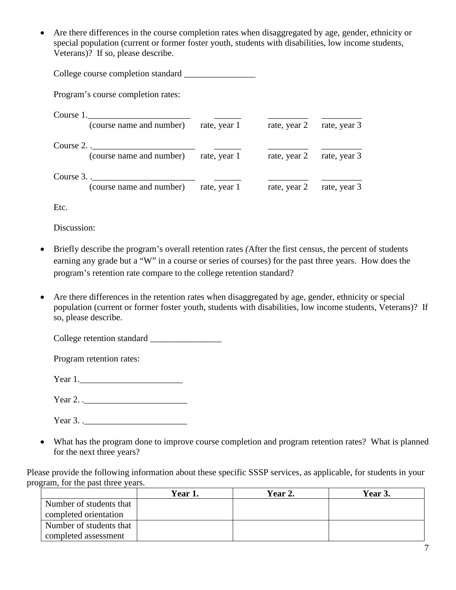• Are there differences in the course completion rates when disaggregated by age, gender, ethnicity or special population (current or former foster youth, students with disabilities, low income students, Veterans)? If so, please describe.

| College course completion standard                     |              |              |              |
|--------------------------------------------------------|--------------|--------------|--------------|
| Program's course completion rates:                     |              |              |              |
| Course 1.<br>(course name and number)                  | rate, year 1 | rate, year 2 | rate, year 3 |
| Course 2.<br>(course name and number) rate, year 1     |              | rate, year 2 | rate, year 3 |
| Course $3.$ .<br>(course name and number) rate, year 1 |              | rate, year 2 | rate, year 3 |

Etc.

Discussion:

- Briefly describe the program's overall retention rates *(*After the first census, the percent of students earning any grade but a "W" in a course or series of courses) for the past three years. How does the program's retention rate compare to the college retention standard?
- Are there differences in the retention rates when disaggregated by age, gender, ethnicity or special population (current or former foster youth, students with disabilities, low income students, Veterans)? If so, please describe.

College retention standard \_\_\_\_\_\_\_\_\_\_\_\_\_\_\_\_

Program retention rates:

Year 1.\_\_\_\_\_\_\_\_\_\_\_\_\_\_\_\_\_\_\_\_\_\_\_

| Year $2.$ .<br>.<br>__ |  |
|------------------------|--|
|------------------------|--|

Year 3. .\_\_\_\_\_\_\_\_\_\_\_\_\_\_\_\_\_\_\_\_\_\_\_

• What has the program done to improve course completion and program retention rates? What is planned for the next three years?

Please provide the following information about these specific SSSP services, as applicable, for students in your program, for the past three years.

|                         | Year 1. | Year 2. | Year 3. |
|-------------------------|---------|---------|---------|
| Number of students that |         |         |         |
| completed orientation   |         |         |         |
| Number of students that |         |         |         |
| completed assessment    |         |         |         |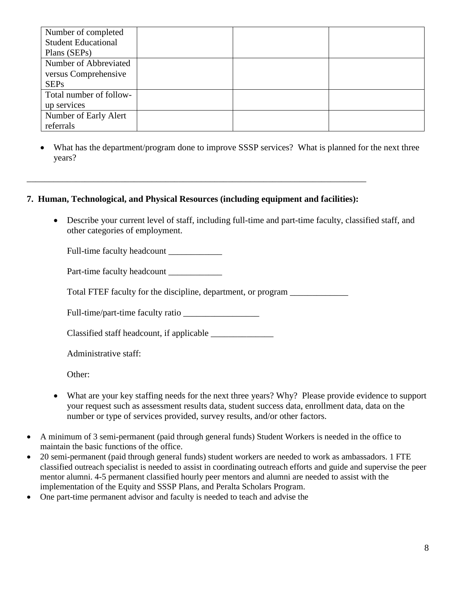| Number of completed        |  |  |
|----------------------------|--|--|
| <b>Student Educational</b> |  |  |
| Plans (SEPs)               |  |  |
| Number of Abbreviated      |  |  |
| versus Comprehensive       |  |  |
| <b>SEPs</b>                |  |  |
| Total number of follow-    |  |  |
| up services                |  |  |
| Number of Early Alert      |  |  |
| referrals                  |  |  |

What has the department/program done to improve SSSP services? What is planned for the next three years?

### **7. Human, Technological, and Physical Resources (including equipment and facilities):**

\_\_\_\_\_\_\_\_\_\_\_\_\_\_\_\_\_\_\_\_\_\_\_\_\_\_\_\_\_\_\_\_\_\_\_\_\_\_\_\_\_\_\_\_\_\_\_\_\_\_\_\_\_\_\_\_\_\_\_\_\_\_\_\_\_\_\_\_\_\_\_\_\_\_\_\_

• Describe your current level of staff, including full-time and part-time faculty, classified staff, and other categories of employment.

Full-time faculty headcount

Part-time faculty headcount

Total FTEF faculty for the discipline, department, or program \_\_\_\_\_\_\_\_\_\_\_\_\_\_\_\_\_\_

Full-time/part-time faculty ratio

Classified staff headcount, if applicable \_\_\_\_\_\_\_\_\_\_\_\_\_\_

Administrative staff:

Other:

- What are your key staffing needs for the next three years? Why? Please provide evidence to support your request such as assessment results data, student success data, enrollment data, data on the number or type of services provided, survey results, and/or other factors.
- A minimum of 3 semi-permanent (paid through general funds) Student Workers is needed in the office to maintain the basic functions of the office.
- 20 semi-permanent (paid through general funds) student workers are needed to work as ambassadors. 1 FTE classified outreach specialist is needed to assist in coordinating outreach efforts and guide and supervise the peer mentor alumni. 4-5 permanent classified hourly peer mentors and alumni are needed to assist with the implementation of the Equity and SSSP Plans, and Peralta Scholars Program.
- One part-time permanent advisor and faculty is needed to teach and advise the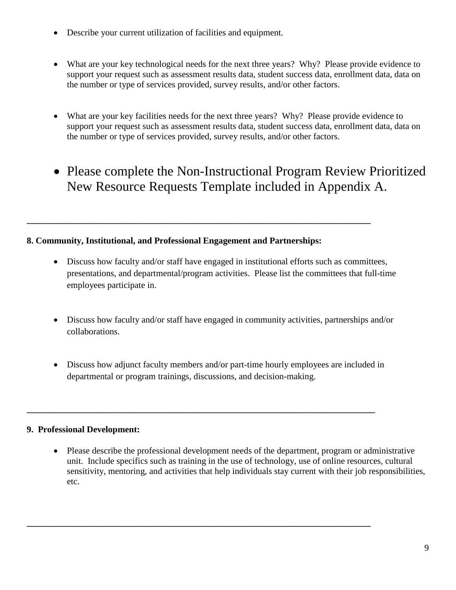- Describe your current utilization of facilities and equipment.
- What are your key technological needs for the next three years? Why? Please provide evidence to support your request such as assessment results data, student success data, enrollment data, data on the number or type of services provided, survey results, and/or other factors.
- What are your key facilities needs for the next three years? Why? Please provide evidence to support your request such as assessment results data, student success data, enrollment data, data on the number or type of services provided, survey results, and/or other factors.
- Please complete the Non-Instructional Program Review Prioritized New Resource Requests Template included in Appendix A.

### **8. Community, Institutional, and Professional Engagement and Partnerships:**

**\_\_\_\_\_\_\_\_\_\_\_\_\_\_\_\_\_\_\_\_\_\_\_\_\_\_\_\_\_\_\_\_\_\_\_\_\_\_\_\_\_\_\_\_\_\_\_\_\_\_\_\_\_\_\_\_\_\_\_\_\_\_\_\_\_\_\_\_\_\_\_\_\_\_\_\_\_**

- Discuss how faculty and/or staff have engaged in institutional efforts such as committees, presentations, and departmental/program activities. Please list the committees that full-time employees participate in.
- Discuss how faculty and/or staff have engaged in community activities, partnerships and/or collaborations.
- Discuss how adjunct faculty members and/or part-time hourly employees are included in departmental or program trainings, discussions, and decision-making.

**\_\_\_\_\_\_\_\_\_\_\_\_\_\_\_\_\_\_\_\_\_\_\_\_\_\_\_\_\_\_\_\_\_\_\_\_\_\_\_\_\_\_\_\_\_\_\_\_\_\_\_\_\_\_\_\_\_\_\_\_\_\_\_\_\_\_\_\_\_\_\_\_\_\_\_\_\_\_**

**\_\_\_\_\_\_\_\_\_\_\_\_\_\_\_\_\_\_\_\_\_\_\_\_\_\_\_\_\_\_\_\_\_\_\_\_\_\_\_\_\_\_\_\_\_\_\_\_\_\_\_\_\_\_\_\_\_\_\_\_\_\_\_\_\_\_\_\_\_\_\_\_\_\_\_\_\_**

### **9. Professional Development:**

• Please describe the professional development needs of the department, program or administrative unit. Include specifics such as training in the use of technology, use of online resources, cultural sensitivity, mentoring, and activities that help individuals stay current with their job responsibilities, etc.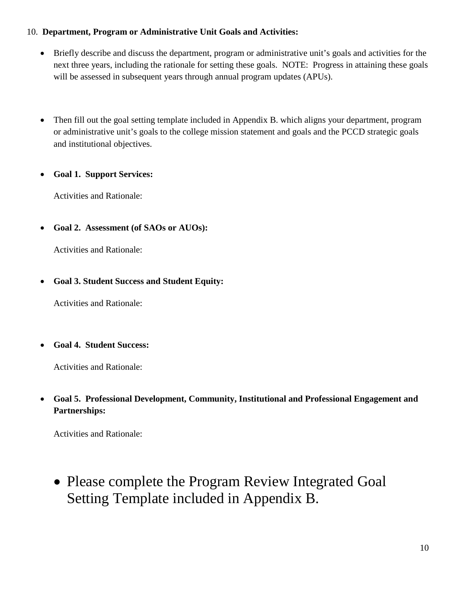### 10. **Department, Program or Administrative Unit Goals and Activities:**

- Briefly describe and discuss the department, program or administrative unit's goals and activities for the next three years, including the rationale for setting these goals. NOTE: Progress in attaining these goals will be assessed in subsequent years through annual program updates (APUs).
- Then fill out the goal setting template included in Appendix B, which aligns your department, program or administrative unit's goals to the college mission statement and goals and the PCCD strategic goals and institutional objectives.

### • **Goal 1. Support Services:**

Activities and Rationale:

• **Goal 2. Assessment (of SAOs or AUOs):**

Activities and Rationale:

• **Goal 3. Student Success and Student Equity:**

Activities and Rationale:

• **Goal 4. Student Success:**

Activities and Rationale:

• **Goal 5. Professional Development, Community, Institutional and Professional Engagement and Partnerships:**

Activities and Rationale:

• Please complete the Program Review Integrated Goal Setting Template included in Appendix B.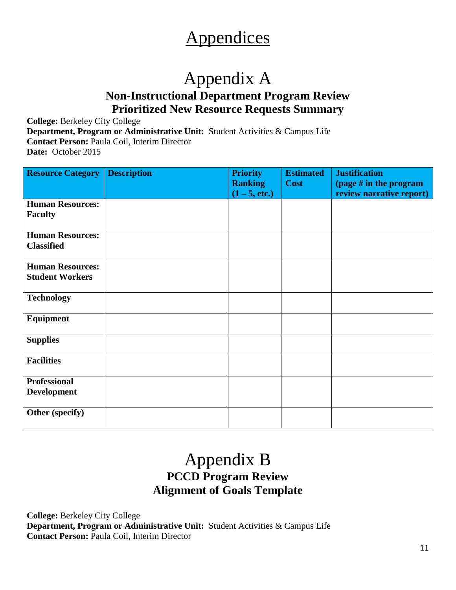## **Appendices**

### Appendix A **Non-Instructional Department Program Review Prioritized New Resource Requests Summary**

**College:** Berkeley City College **Department, Program or Administrative Unit:** Student Activities & Campus Life **Contact Person:** Paula Coil, Interim Director **Date:** October 2015

| <b>Resource Category</b> | <b>Description</b> | <b>Priority</b> | <b>Estimated</b> | <b>Justification</b>     |
|--------------------------|--------------------|-----------------|------------------|--------------------------|
|                          |                    | <b>Ranking</b>  | <b>Cost</b>      | (page $#$ in the program |
|                          |                    | $(1 - 5, etc.)$ |                  | review narrative report) |
| <b>Human Resources:</b>  |                    |                 |                  |                          |
| <b>Faculty</b>           |                    |                 |                  |                          |
|                          |                    |                 |                  |                          |
| <b>Human Resources:</b>  |                    |                 |                  |                          |
| <b>Classified</b>        |                    |                 |                  |                          |
|                          |                    |                 |                  |                          |
| <b>Human Resources:</b>  |                    |                 |                  |                          |
| <b>Student Workers</b>   |                    |                 |                  |                          |
|                          |                    |                 |                  |                          |
| <b>Technology</b>        |                    |                 |                  |                          |
|                          |                    |                 |                  |                          |
| <b>Equipment</b>         |                    |                 |                  |                          |
|                          |                    |                 |                  |                          |
| <b>Supplies</b>          |                    |                 |                  |                          |
|                          |                    |                 |                  |                          |
| <b>Facilities</b>        |                    |                 |                  |                          |
|                          |                    |                 |                  |                          |
| <b>Professional</b>      |                    |                 |                  |                          |
| <b>Development</b>       |                    |                 |                  |                          |
|                          |                    |                 |                  |                          |
| Other (specify)          |                    |                 |                  |                          |
|                          |                    |                 |                  |                          |

### Appendix B **PCCD Program Review Alignment of Goals Template**

**College:** Berkeley City College **Department, Program or Administrative Unit:** Student Activities & Campus Life **Contact Person:** Paula Coil, Interim Director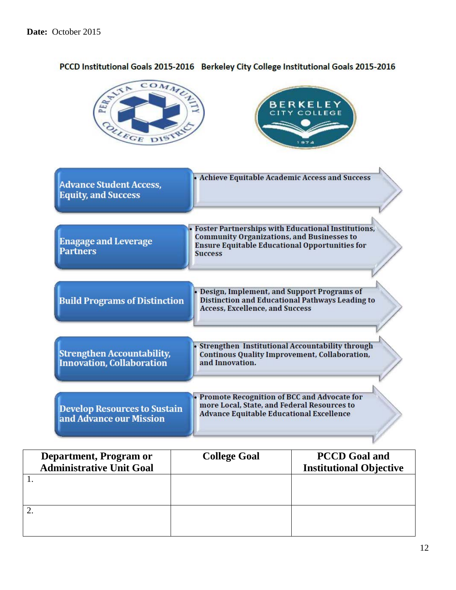| COMMULT<br>PERTITA<br>OLLEGE DISTR                                    | BERKELEY<br>CITY COLLEGE                                                                                                                                                                  |
|-----------------------------------------------------------------------|-------------------------------------------------------------------------------------------------------------------------------------------------------------------------------------------|
| <b>Advance Student Access,</b><br><b>Equity, and Success</b>          | Achieve Equitable Academic Access and Success                                                                                                                                             |
| <b>Enagage and Leverage</b><br><b>Partners</b>                        | <b>Foster Partnerships with Educational Institutions,</b><br><b>Community Organizations, and Businesses to</b><br><b>Ensure Equitable Educational Opportunities for</b><br><b>Success</b> |
| <b>Build Programs of Distinction</b>                                  | Design, Implement, and Support Programs of<br><b>Distinction and Educational Pathways Leading to</b><br><b>Access, Excellence, and Success</b>                                            |
| <b>Strengthen Accountability,</b><br><b>Innovation, Collaboration</b> | Strengthen Institutional Accountability through<br><b>Continous Quality Improvement, Collaboration,</b><br>and Innovation.                                                                |
| <b>Develop Resources to Sustain</b><br>and Advance our Mission        | Promote Recognition of BCC and Advocate for<br>more Local, State, and Federal Resources to<br><b>Advance Equitable Educational Excellence</b>                                             |

| Department, Program or          | <b>College Goal</b> | <b>PCCD</b> Goal and           |
|---------------------------------|---------------------|--------------------------------|
| <b>Administrative Unit Goal</b> |                     | <b>Institutional Objective</b> |
|                                 |                     |                                |
|                                 |                     |                                |
|                                 |                     |                                |
|                                 |                     |                                |
|                                 |                     |                                |
|                                 |                     |                                |

### PCCD Institutional Goals 2015-2016 Berkeley City College Institutional Goals 2015-2016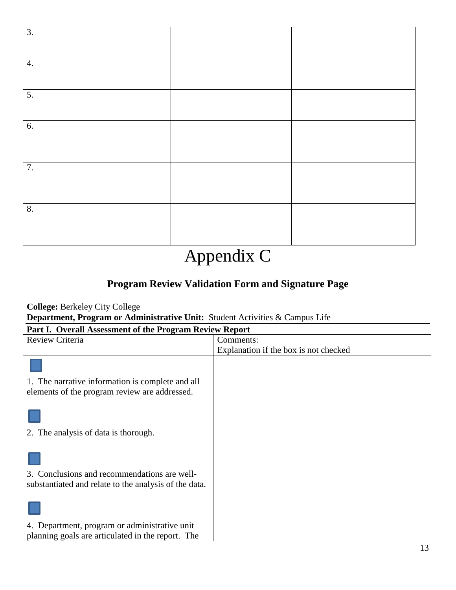| $\overline{3}$ . |  |
|------------------|--|
| 4.               |  |
| $\overline{5}$ . |  |
| 6.               |  |
| 7.               |  |
| $\overline{8}$ . |  |

## Appendix C

### **Program Review Validation Form and Signature Page**

**College:** Berkeley City College **Department, Program or Administrative Unit:** Student Activities & Campus Life

|  | Part I. Overall Assessment of the Program Review Report |  |  |
|--|---------------------------------------------------------|--|--|
|  |                                                         |  |  |

| Review Criteria                                       | Comments:                             |
|-------------------------------------------------------|---------------------------------------|
|                                                       | Explanation if the box is not checked |
| 1. The narrative information is complete and all      |                                       |
| elements of the program review are addressed.         |                                       |
|                                                       |                                       |
| 2. The analysis of data is thorough.                  |                                       |
|                                                       |                                       |
| 3. Conclusions and recommendations are well-          |                                       |
| substantiated and relate to the analysis of the data. |                                       |
|                                                       |                                       |
|                                                       |                                       |
| 4. Department, program or administrative unit         |                                       |
| planning goals are articulated in the report. The     |                                       |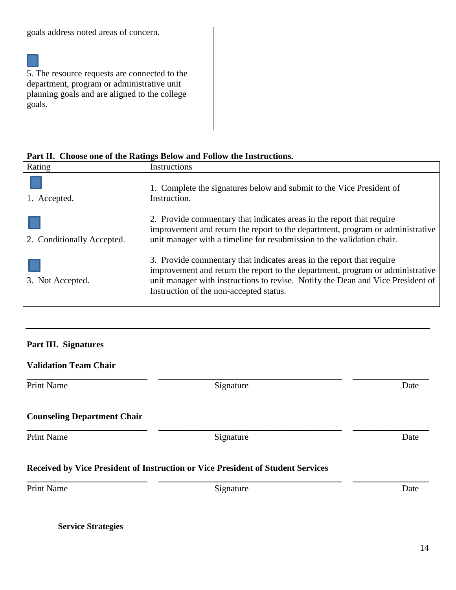| goals address noted areas of concern.                                                                                                                  |  |
|--------------------------------------------------------------------------------------------------------------------------------------------------------|--|
| 5. The resource requests are connected to the<br>department, program or administrative unit<br>planning goals and are aligned to the college<br>goals. |  |

|  | Part II. Choose one of the Ratings Below and Follow the Instructions. |  |  |
|--|-----------------------------------------------------------------------|--|--|
|  |                                                                       |  |  |

| Rating                     | Instructions                                                                                                                                                                                                                                                                          |
|----------------------------|---------------------------------------------------------------------------------------------------------------------------------------------------------------------------------------------------------------------------------------------------------------------------------------|
| 1. Accepted.               | 1. Complete the signatures below and submit to the Vice President of<br>Instruction.                                                                                                                                                                                                  |
| 2. Conditionally Accepted. | 2. Provide commentary that indicates areas in the report that require<br>improvement and return the report to the department, program or administrative<br>unit manager with a timeline for resubmission to the validation chair.                                                     |
| 3. Not Accepted.           | 3. Provide commentary that indicates areas in the report that require<br>improvement and return the report to the department, program or administrative<br>unit manager with instructions to revise. Notify the Dean and Vice President of<br>Instruction of the non-accepted status. |

### **Part III. Signatures**

### **Validation Team Chair**

Print Name Date **Signature** Signature Date

### **Counseling Department Chair**

Print Name Date **Signature** Signature Date

**\_\_\_\_\_\_\_\_\_\_\_\_\_\_\_\_\_\_\_\_\_\_\_\_\_\_\_ \_\_\_\_\_\_\_\_\_\_\_\_\_\_\_\_\_\_\_\_\_\_\_\_\_\_\_\_\_\_\_\_\_\_\_\_\_\_\_\_\_ \_\_\_\_\_\_\_\_\_\_\_\_\_\_\_\_\_**

**\_\_\_\_\_\_\_\_\_\_\_\_\_\_\_\_\_\_\_\_\_\_\_\_\_\_\_ \_\_\_\_\_\_\_\_\_\_\_\_\_\_\_\_\_\_\_\_\_\_\_\_\_\_\_\_\_\_\_\_\_\_\_\_\_\_\_\_\_ \_\_\_\_\_\_\_\_\_\_\_\_\_\_\_\_\_**

### **Received by Vice President of Instruction or Vice President of Student Services**

Print Name Date **Signature** Signature Date

**\_\_\_\_\_\_\_\_\_\_\_\_\_\_\_\_\_\_\_\_\_\_\_\_\_\_\_ \_\_\_\_\_\_\_\_\_\_\_\_\_\_\_\_\_\_\_\_\_\_\_\_\_\_\_\_\_\_\_\_\_\_\_\_\_\_\_\_\_ \_\_\_\_\_\_\_\_\_\_\_\_\_\_\_\_\_**

**Service Strategies**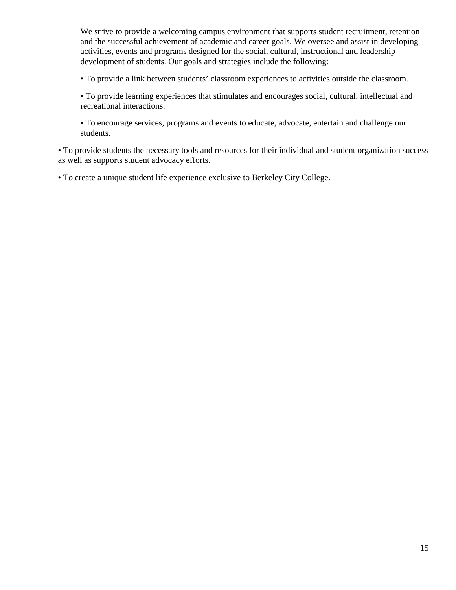We strive to provide a welcoming campus environment that supports student recruitment, retention and the successful achievement of academic and career goals. We oversee and assist in developing activities, events and programs designed for the social, cultural, instructional and leadership development of students. Our goals and strategies include the following:

• To provide a link between students' classroom experiences to activities outside the classroom.

• To provide learning experiences that stimulates and encourages social, cultural, intellectual and recreational interactions.

• To encourage services, programs and events to educate, advocate, entertain and challenge our students.

• To provide students the necessary tools and resources for their individual and student organization success as well as supports student advocacy efforts.

• To create a unique student life experience exclusive to Berkeley City College.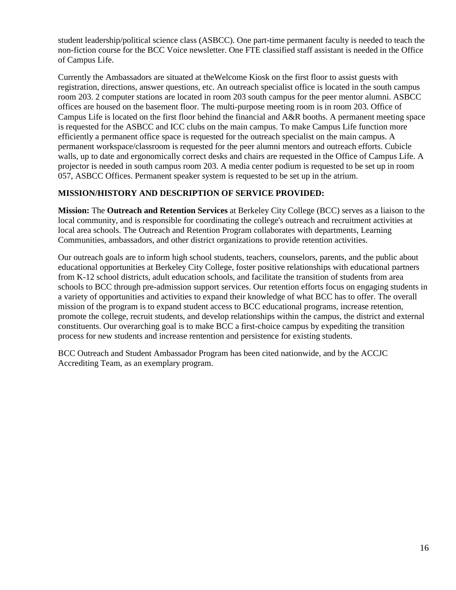student leadership/political science class (ASBCC). One part-time permanent faculty is needed to teach the non-fiction course for the BCC Voice newsletter. One FTE classified staff assistant is needed in the Office of Campus Life.

Currently the Ambassadors are situated at theWelcome Kiosk on the first floor to assist guests with registration, directions, answer questions, etc. An outreach specialist office is located in the south campus room 203. 2 computer stations are located in room 203 south campus for the peer mentor alumni. ASBCC offices are housed on the basement floor. The multi-purpose meeting room is in room 203. Office of Campus Life is located on the first floor behind the financial and A&R booths. A permanent meeting space is requested for the ASBCC and ICC clubs on the main campus. To make Campus Life function more efficiently a permanent office space is requested for the outreach specialist on the main campus. A permanent workspace/classroom is requested for the peer alumni mentors and outreach efforts. Cubicle walls, up to date and ergonomically correct desks and chairs are requested in the Office of Campus Life. A projector is needed in south campus room 203. A media center podium is requested to be set up in room 057, ASBCC Offices. Permanent speaker system is requested to be set up in the atrium.

### **MISSION/HISTORY AND DESCRIPTION OF SERVICE PROVIDED:**

**Mission:** The **Outreach and Retention Services** at Berkeley City College (BCC) serves as a liaison to the local community, and is responsible for coordinating the college's outreach and recruitment activities at local area schools. The Outreach and Retention Program collaborates with departments, Learning Communities, ambassadors, and other district organizations to provide retention activities.

Our outreach goals are to inform high school students, teachers, counselors, parents, and the public about educational opportunities at Berkeley City College, foster positive relationships with educational partners from K-12 school districts, adult education schools, and facilitate the transition of students from area schools to BCC through pre-admission support services. Our retention efforts focus on engaging students in a variety of opportunities and activities to expand their knowledge of what BCC has to offer. The overall mission of the program is to expand student access to BCC educational programs, increase retention, promote the college, recruit students, and develop relationships within the campus, the district and external constituents. Our overarching goal is to make BCC a first-choice campus by expediting the transition process for new students and increase rentention and persistence for existing students.

BCC Outreach and Student Ambassador Program has been cited nationwide, and by the ACCJC Accrediting Team, as an exemplary program.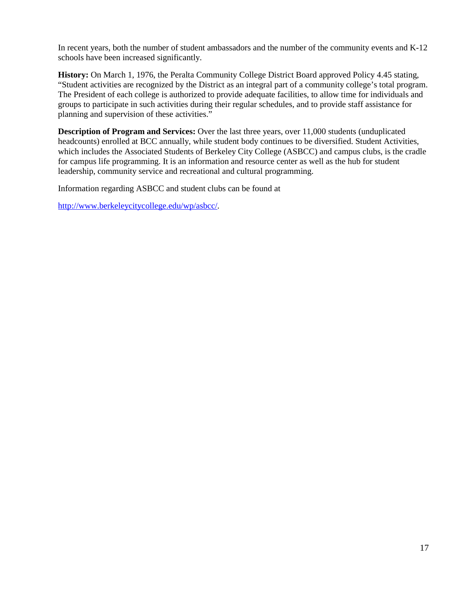In recent years, both the number of student ambassadors and the number of the community events and K-12 schools have been increased significantly.

**History:** On March 1, 1976, the Peralta Community College District Board approved Policy 4.45 stating, "Student activities are recognized by the District as an integral part of a community college's total program. The President of each college is authorized to provide adequate facilities, to allow time for individuals and groups to participate in such activities during their regular schedules, and to provide staff assistance for planning and supervision of these activities."

**Description of Program and Services:** Over the last three years, over 11,000 students (unduplicated headcounts) enrolled at BCC annually, while student body continues to be diversified. Student Activities, which includes the Associated Students of Berkeley City College (ASBCC) and campus clubs, is the cradle for campus life programming. It is an information and resource center as well as the hub for student leadership, community service and recreational and cultural programming.

Information regarding ASBCC and student clubs can be found at

http://www.berkeleycitycollege.edu/wp/asbcc/.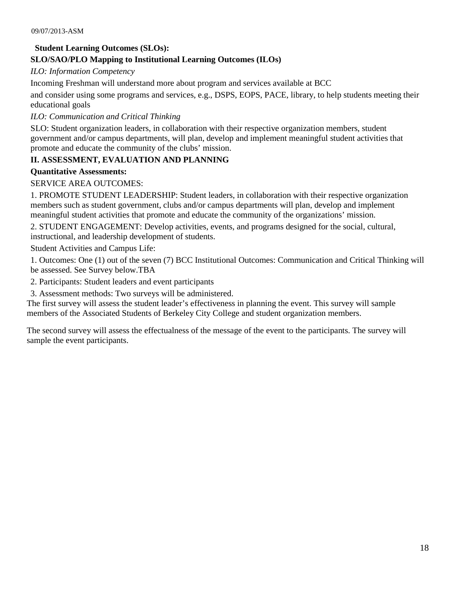### **Student Learning Outcomes (SLOs):**

### **SLO/SAO/PLO Mapping to Institutional Learning Outcomes (ILOs)**

*ILO: Information Competency* 

Incoming Freshman will understand more about program and services available at BCC

and consider using some programs and services, e.g., DSPS, EOPS, PACE, library, to help students meeting their educational goals

### *ILO: Communication and Critical Thinking*

SLO: Student organization leaders, in collaboration with their respective organization members, student government and/or campus departments, will plan, develop and implement meaningful student activities that promote and educate the community of the clubs' mission.

### **II. ASSESSMENT, EVALUATION AND PLANNING**

#### **Quantitative Assessments:**

#### SERVICE AREA OUTCOMES:

1. PROMOTE STUDENT LEADERSHIP: Student leaders, in collaboration with their respective organization members such as student government, clubs and/or campus departments will plan, develop and implement meaningful student activities that promote and educate the community of the organizations' mission.

2. STUDENT ENGAGEMENT: Develop activities, events, and programs designed for the social, cultural, instructional, and leadership development of students.

Student Activities and Campus Life:

1. Outcomes: One (1) out of the seven (7) BCC Institutional Outcomes: Communication and Critical Thinking will be assessed. See Survey below.TBA

2. Participants: Student leaders and event participants

3. Assessment methods: Two surveys will be administered.

The first survey will assess the student leader's effectiveness in planning the event. This survey will sample members of the Associated Students of Berkeley City College and student organization members.

The second survey will assess the effectualness of the message of the event to the participants. The survey will sample the event participants.